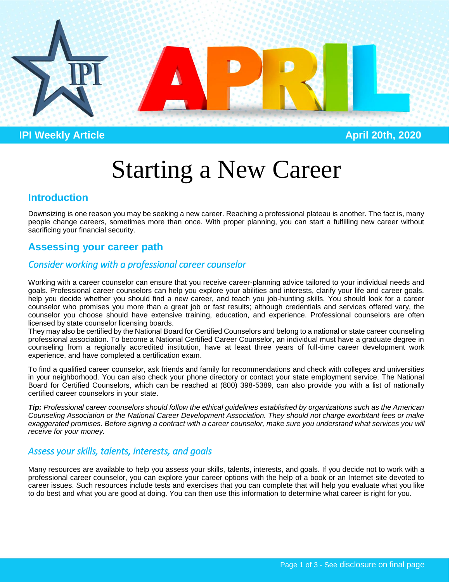

**IPI Weekly Article April 20th, 2020** 

# Starting a New Career

# **Introduction**

Downsizing is one reason you may be seeking a new career. Reaching a professional plateau is another. The fact is, many people change careers, sometimes more than once. With proper planning, you can start a fulfilling new career without sacrificing your financial security.

# **Assessing your career path**

# *Consider working with a professional career counselor*

Working with a career counselor can ensure that you receive career-planning advice tailored to your individual needs and goals. Professional career counselors can help you explore your abilities and interests, clarify your life and career goals, help you decide whether you should find a new career, and teach you job-hunting skills. You should look for a career counselor who promises you more than a great job or fast results; although credentials and services offered vary, the counselor you choose should have extensive training, education, and experience. Professional counselors are often licensed by state counselor licensing boards.

They may also be certified by the National Board for Certified Counselors and belong to a national or state career counseling professional association. To become a National Certified Career Counselor, an individual must have a graduate degree in counseling from a regionally accredited institution, have at least three years of full-time career development work experience, and have completed a certification exam.

To find a qualified career counselor, ask friends and family for recommendations and check with colleges and universities in your neighborhood. You can also check your phone directory or contact your state employment service. The National Board for Certified Counselors, which can be reached at (800) 398-5389, can also provide you with a list of nationally certified career counselors in your state.

*Tip: Professional career counselors should follow the ethical guidelines established by organizations such as the American Counseling Association or the National Career Development Association. They should not charge exorbitant fees or make*  exaggerated promises. Before signing a contract with a career counselor, make sure you understand what services you will *receive for your money.*

## *Assess your skills, talents, interests, and goals*

Many resources are available to help you assess your skills, talents, interests, and goals. If you decide not to work with a professional career counselor, you can explore your career options with the help of a book or an Internet site devoted to career issues. Such resources include tests and exercises that you can complete that will help you evaluate what you like to do best and what you are good at doing. You can then use this information to determine what career is right for you.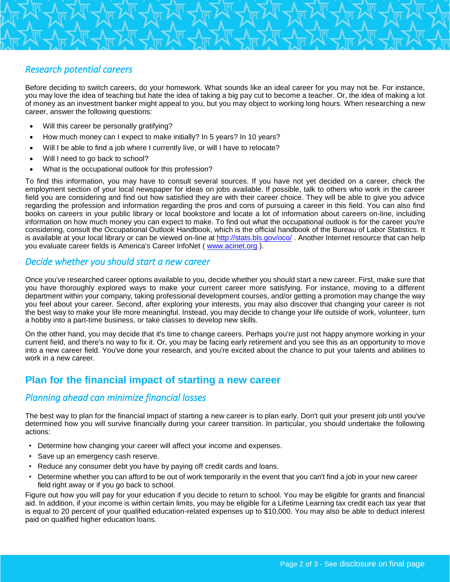## *Research potential careers*

Before deciding to switch careers, do your homework. What sounds like an ideal career for you may not be. For instance, you may love the idea of teaching but hate the idea of taking a big pay cut to become a teacher. Or, the idea of making a lot of money as an investment banker might appeal to you, but you may object to working long hours. When researching a new career, answer the following questions:

- Will this career be personally gratifying?
- How much money can I expect to make initially? In 5 years? In 10 years?
- Will I be able to find a job where I currently live, or will I have to relocate?
- Will I need to go back to school?
- What is the occupational outlook for this profession?

To find this information, you may have to consult several sources. If you have not yet decided on a career, check the employment section of your local newspaper for ideas on jobs available. If possible, talk to others who work in the career field you are considering and find out how satisfied they are with their career choice. They will be able to give you advice regarding the profession and information regarding the pros and cons of pursuing a career in this field. You can also find books on careers in your public library or local bookstore and locate a lot of information about careers on-line, including information on how much money you can expect to make. To find out what the occupational outlook is for the career you're considering, consult the Occupational Outlook Handbook, which is the official handbook of the Bureau of Labor Statistics. It is available at your local library or can be viewed on-line at<http://stats.bls.gov/oco/> . Another Internet resource that can help you evaluate career fields is America's Career InfoNet ( [www.acinet.org](http://www.acinet.org/) ).

#### *Decide whether you should start a new career*

Once you've researched career options available to you, decide whether you should start a new career. First, make sure that you have thoroughly explored ways to make your current career more satisfying. For instance, moving to a different department within your company, taking professional development courses, and/or getting a promotion may change the way you feel about your career. Second, after exploring your interests, you may also discover that changing your career is not the best way to make your life more meaningful. Instead, you may decide to change your life outside of work, volunteer, turn a hobby into a part-time business, or take classes to develop new skills.

On the other hand, you may decide that it's time to change careers. Perhaps you're just not happy anymore working in your current field, and there's no way to fix it. Or, you may be facing early retirement and you see this as an opportunity to move into a new career field. You've done your research, and you're excited about the chance to put your talents and abilities to work in a new career.

# **Plan for the financial impact of starting a new career**

## *Planning ahead can minimize financial losses*

The best way to plan for the financial impact of starting a new career is to plan early. Don't quit your present job until you've determined how you will survive financially during your career transition. In particular, you should undertake the following actions:

- Determine how changing your career will affect your income and expenses.
- Save up an emergency cash reserve.
- Reduce any consumer debt you have by paying off credit cards and loans.
- Determine whether you can afford to be out of work temporarily in the event that you can't find a job in your new career field right away or if you go back to school.

• Figure out how you will pay for your education if you decide to return to school. You may be eligible for grants and financial aid. In addition, if your income is within certain limits, you may be eligible for a Lifetime Learning tax credit each tax year that is equal to 20 percent of your qualified education-related expenses up to \$10,000. You may also be able to deduct interest paid on qualified higher education loans.